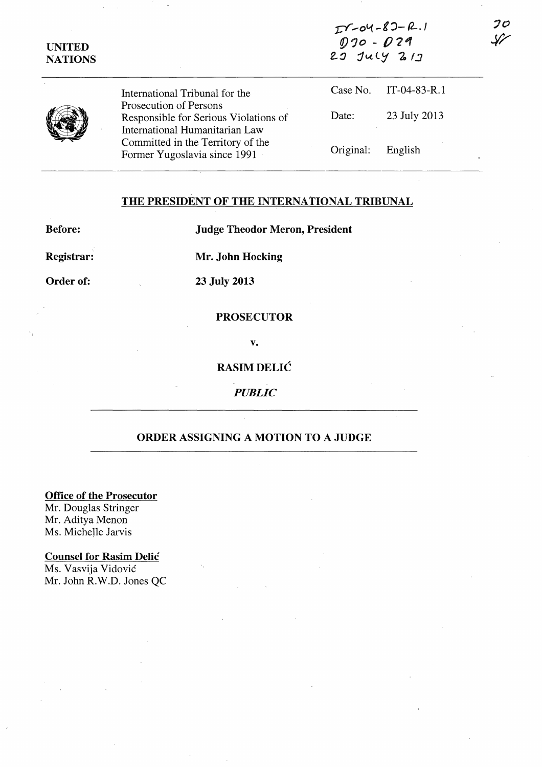| <b>UNITED</b><br><b>NATIONS</b> | International Tribunal for the                                                                    | $27 - 04 - 6 - 1$<br>$020 - 029$<br>$29$ July $21$ |                |    |
|---------------------------------|---------------------------------------------------------------------------------------------------|----------------------------------------------------|----------------|----|
|                                 |                                                                                                   | Case No.                                           | $IT-04-83-R.1$ |    |
|                                 | Prosecution of Persons<br>Responsible for Serious Violations of<br>International Humanitarian Law | Date:                                              | 23 July 2013   |    |
|                                 | Committed in the Territory of the<br>Former Yugoslavia since 1991                                 | Original:                                          | English        | -o |

 $0 - 0$ 

 $20$ 

### THE PRESIDENT OF THE INTERNATIONAL TRIBUNAL

Before: Judge Theodor Meron, President

Registrar: Mr. John Hocking

# Order of: 23 July 2013

## **PROSECUTOR**

v.

## RASIMDELIC

*PUBLIC* 

### ORDER ASSIGNING A MOTION TO A JUDGE

Office of the Prosecutor

Mr. Douglas Stringer Mr. Aditya Menon Ms. Michelle Jarvis

#### Counsel for Rasim Delic

Ms. Vasvija Vidovic Mr. John R.W.D. Jones QC